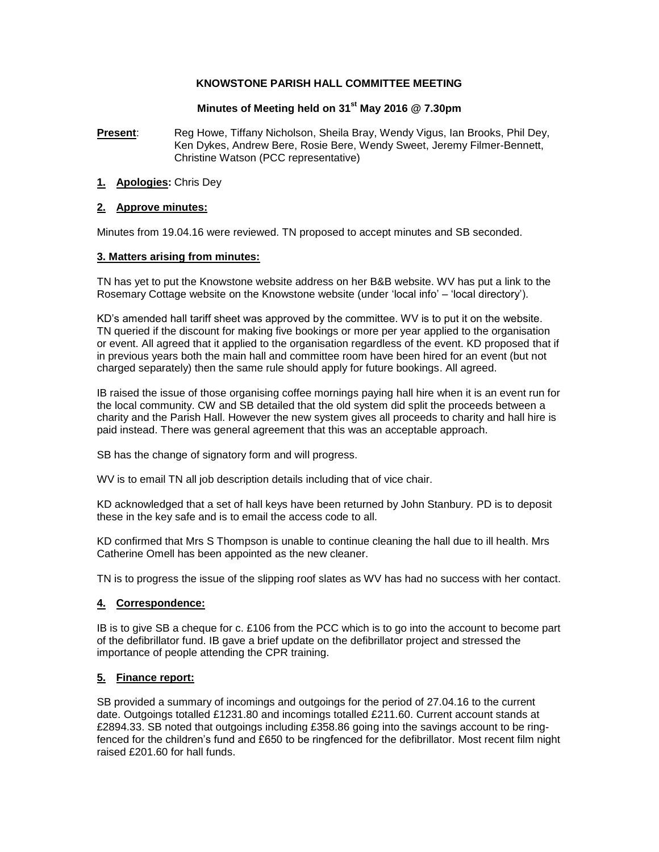### **KNOWSTONE PARISH HALL COMMITTEE MEETING**

## **Minutes of Meeting held on 31st May 2016 @ 7.30pm**

**Present**: Reg Howe, Tiffany Nicholson, Sheila Bray, Wendy Vigus, Ian Brooks, Phil Dey, Ken Dykes, Andrew Bere, Rosie Bere, Wendy Sweet, Jeremy Filmer-Bennett, Christine Watson (PCC representative)

**1. Apologies:** Chris Dey

### **2. Approve minutes:**

Minutes from 19.04.16 were reviewed. TN proposed to accept minutes and SB seconded.

### **3. Matters arising from minutes:**

TN has yet to put the Knowstone website address on her B&B website. WV has put a link to the Rosemary Cottage website on the Knowstone website (under 'local info' – 'local directory').

KD's amended hall tariff sheet was approved by the committee. WV is to put it on the website. TN queried if the discount for making five bookings or more per year applied to the organisation or event. All agreed that it applied to the organisation regardless of the event. KD proposed that if in previous years both the main hall and committee room have been hired for an event (but not charged separately) then the same rule should apply for future bookings. All agreed.

IB raised the issue of those organising coffee mornings paying hall hire when it is an event run for the local community. CW and SB detailed that the old system did split the proceeds between a charity and the Parish Hall. However the new system gives all proceeds to charity and hall hire is paid instead. There was general agreement that this was an acceptable approach.

SB has the change of signatory form and will progress.

WV is to email TN all job description details including that of vice chair.

KD acknowledged that a set of hall keys have been returned by John Stanbury. PD is to deposit these in the key safe and is to email the access code to all.

KD confirmed that Mrs S Thompson is unable to continue cleaning the hall due to ill health. Mrs Catherine Omell has been appointed as the new cleaner.

TN is to progress the issue of the slipping roof slates as WV has had no success with her contact.

## **4. Correspondence:**

IB is to give SB a cheque for c. £106 from the PCC which is to go into the account to become part of the defibrillator fund. IB gave a brief update on the defibrillator project and stressed the importance of people attending the CPR training.

## **5. Finance report:**

SB provided a summary of incomings and outgoings for the period of 27.04.16 to the current date. Outgoings totalled £1231.80 and incomings totalled £211.60. Current account stands at £2894.33. SB noted that outgoings including £358.86 going into the savings account to be ringfenced for the children's fund and £650 to be ringfenced for the defibrillator. Most recent film night raised £201.60 for hall funds.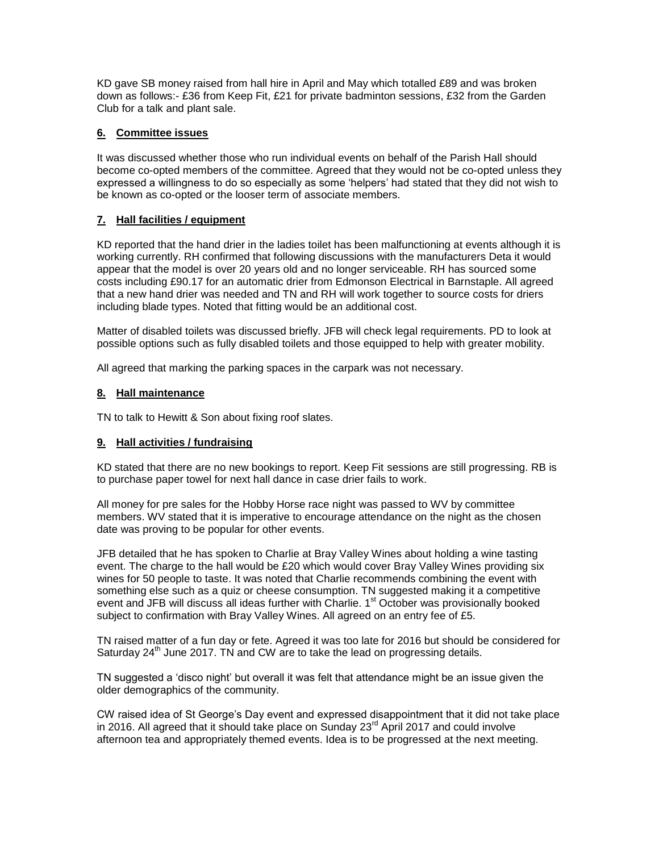KD gave SB money raised from hall hire in April and May which totalled £89 and was broken down as follows:- £36 from Keep Fit, £21 for private badminton sessions, £32 from the Garden Club for a talk and plant sale.

# **6. Committee issues**

It was discussed whether those who run individual events on behalf of the Parish Hall should become co-opted members of the committee. Agreed that they would not be co-opted unless they expressed a willingness to do so especially as some 'helpers' had stated that they did not wish to be known as co-opted or the looser term of associate members.

# **7. Hall facilities / equipment**

KD reported that the hand drier in the ladies toilet has been malfunctioning at events although it is working currently. RH confirmed that following discussions with the manufacturers Deta it would appear that the model is over 20 years old and no longer serviceable. RH has sourced some costs including £90.17 for an automatic drier from Edmonson Electrical in Barnstaple. All agreed that a new hand drier was needed and TN and RH will work together to source costs for driers including blade types. Noted that fitting would be an additional cost.

Matter of disabled toilets was discussed briefly. JFB will check legal requirements. PD to look at possible options such as fully disabled toilets and those equipped to help with greater mobility.

All agreed that marking the parking spaces in the carpark was not necessary.

## **8. Hall maintenance**

TN to talk to Hewitt & Son about fixing roof slates.

## **9. Hall activities / fundraising**

KD stated that there are no new bookings to report. Keep Fit sessions are still progressing. RB is to purchase paper towel for next hall dance in case drier fails to work.

All money for pre sales for the Hobby Horse race night was passed to WV by committee members. WV stated that it is imperative to encourage attendance on the night as the chosen date was proving to be popular for other events.

JFB detailed that he has spoken to Charlie at Bray Valley Wines about holding a wine tasting event. The charge to the hall would be £20 which would cover Bray Valley Wines providing six wines for 50 people to taste. It was noted that Charlie recommends combining the event with something else such as a quiz or cheese consumption. TN suggested making it a competitive event and JFB will discuss all ideas further with Charlie. 1<sup>st</sup> October was provisionally booked subject to confirmation with Bray Valley Wines. All agreed on an entry fee of £5.

TN raised matter of a fun day or fete. Agreed it was too late for 2016 but should be considered for Saturday  $24<sup>th</sup>$  June 2017. TN and CW are to take the lead on progressing details.

TN suggested a 'disco night' but overall it was felt that attendance might be an issue given the older demographics of the community.

CW raised idea of St George's Day event and expressed disappointment that it did not take place in 2016. All agreed that it should take place on Sunday 23<sup>rd</sup> April 2017 and could involve afternoon tea and appropriately themed events. Idea is to be progressed at the next meeting.